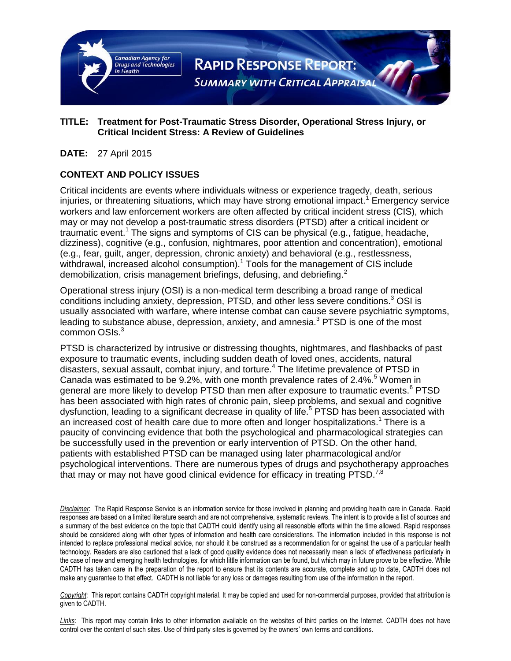

#### **TITLE: Treatment for Post-Traumatic Stress Disorder, Operational Stress Injury, or Critical Incident Stress: A Review of Guidelines**

#### **DATE:** 27 April 2015

### **CONTEXT AND POLICY ISSUES**

Critical incidents are events where individuals witness or experience tragedy, death, serious injuries, or threatening situations, which may have strong emotional impact.<sup>1</sup> Emergency service workers and law enforcement workers are often affected by critical incident stress (CIS), which may or may not develop a post-traumatic stress disorders (PTSD) after a critical incident or traumatic event.<sup>1</sup> The signs and symptoms of CIS can be physical (e.g., fatigue, headache, dizziness), cognitive (e.g., confusion, nightmares, poor attention and concentration), emotional (e.g., fear, guilt, anger, depression, chronic anxiety) and behavioral (e.g., restlessness, withdrawal, increased alcohol consumption).<sup>1</sup> Tools for the management of CIS include demobilization, crisis management briefings, defusing, and debriefing.<sup>2</sup>

Operational stress injury (OSI) is a non-medical term describing a broad range of medical conditions including anxiety, depression, PTSD, and other less severe conditions.<sup>3</sup> OSI is usually associated with warfare, where intense combat can cause severe psychiatric symptoms, leading to substance abuse, depression, anxiety, and amnesia.<sup>3</sup> PTSD is one of the most common OSIs.<sup>3</sup>

PTSD is characterized by intrusive or distressing thoughts, nightmares, and flashbacks of past exposure to traumatic events, including sudden death of loved ones, accidents, natural disasters, sexual assault, combat injury, and torture.<sup>4</sup> The lifetime prevalence of PTSD in Canada was estimated to be 9.2%, with one month prevalence rates of 2.4%.<sup>5</sup> Women in general are more likely to develop PTSD than men after exposure to traumatic events.<sup>6</sup> PTSD has been associated with high rates of chronic pain, sleep problems, and sexual and cognitive dysfunction, leading to a significant decrease in quality of life.<sup>5</sup> PTSD has been associated with an increased cost of health care due to more often and longer hospitalizations.<sup>1</sup> There is a paucity of convincing evidence that both the psychological and pharmacological strategies can be successfully used in the prevention or early intervention of PTSD. On the other hand, patients with established PTSD can be managed using later pharmacological and/or psychological interventions. There are numerous types of drugs and psychotherapy approaches that may or may not have good clinical evidence for efficacy in treating  $PTSD.<sup>7,8</sup>$ 

*Disclaimer*: The Rapid Response Service is an information service for those involved in planning and providing health care in Canada. Rapid responses are based on a limited literature search and are not comprehensive, systematic reviews. The intent is to provide a list of sources and a summary of the best evidence on the topic that CADTH could identify using all reasonable efforts within the time allowed. Rapid responses should be considered along with other types of information and health care considerations. The information included in this response is not intended to replace professional medical advice, nor should it be construed as a recommendation for or against the use of a particular health technology. Readers are also cautioned that a lack of good quality evidence does not necessarily mean a lack of effectiveness particularly in the case of new and emerging health technologies, for which little information can be found, but which may in future prove to be effective. While CADTH has taken care in the preparation of the report to ensure that its contents are accurate, complete and up to date, CADTH does not make any guarantee to that effect. CADTH is not liable for any loss or damages resulting from use of the information in the report.

*Copyright*: This report contains CADTH copyright material. It may be copied and used for non-commercial purposes, provided that attribution is given to CADTH.

Links: This report may contain links to other information available on the websites of third parties on the Internet. CADTH does not have control over the content of such sites. Use of third party sites is governed by the owners' own terms and conditions.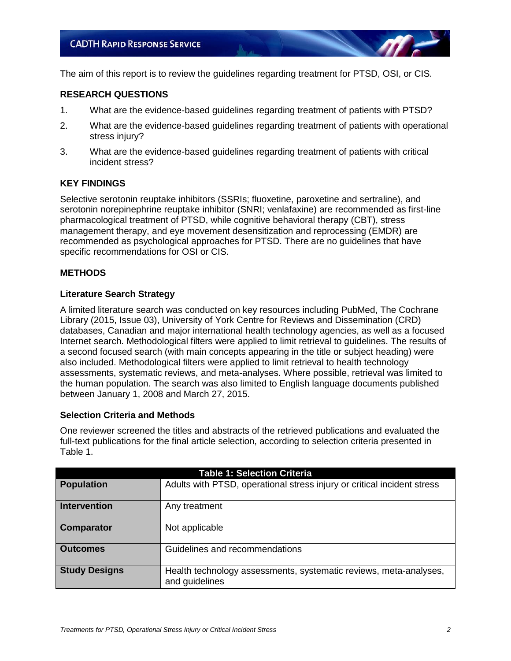The aim of this report is to review the guidelines regarding treatment for PTSD, OSI, or CIS.

#### **RESEARCH QUESTIONS**

- 1. What are the evidence-based guidelines regarding treatment of patients with PTSD?
- 2. What are the evidence-based guidelines regarding treatment of patients with operational stress injury?
- 3. What are the evidence-based guidelines regarding treatment of patients with critical incident stress?

#### **KEY FINDINGS**

Selective serotonin reuptake inhibitors (SSRIs; fluoxetine, paroxetine and sertraline), and serotonin norepinephrine reuptake inhibitor (SNRI; venlafaxine) are recommended as first-line pharmacological treatment of PTSD, while cognitive behavioral therapy (CBT), stress management therapy, and eye movement desensitization and reprocessing (EMDR) are recommended as psychological approaches for PTSD. There are no guidelines that have specific recommendations for OSI or CIS.

#### **METHODS**

#### **Literature Search Strategy**

A limited literature search was conducted on key resources including PubMed, The Cochrane Library (2015, Issue 03), University of York Centre for Reviews and Dissemination (CRD) databases, Canadian and major international health technology agencies, as well as a focused Internet search. Methodological filters were applied to limit retrieval to guidelines. The results of a second focused search (with main concepts appearing in the title or subject heading) were also included. Methodological filters were applied to limit retrieval to health technology assessments, systematic reviews, and meta-analyses. Where possible, retrieval was limited to the human population. The search was also limited to English language documents published between January 1, 2008 and March 27, 2015.

#### **Selection Criteria and Methods**

One reviewer screened the titles and abstracts of the retrieved publications and evaluated the full-text publications for the final article selection, according to selection criteria presented in Table 1.

| <b>Table 1: Selection Criteria</b> |                                                                                     |  |  |
|------------------------------------|-------------------------------------------------------------------------------------|--|--|
| <b>Population</b>                  | Adults with PTSD, operational stress injury or critical incident stress             |  |  |
| <b>Intervention</b>                | Any treatment                                                                       |  |  |
| <b>Comparator</b>                  | Not applicable                                                                      |  |  |
| <b>Outcomes</b>                    | Guidelines and recommendations                                                      |  |  |
| <b>Study Designs</b>               | Health technology assessments, systematic reviews, meta-analyses,<br>and guidelines |  |  |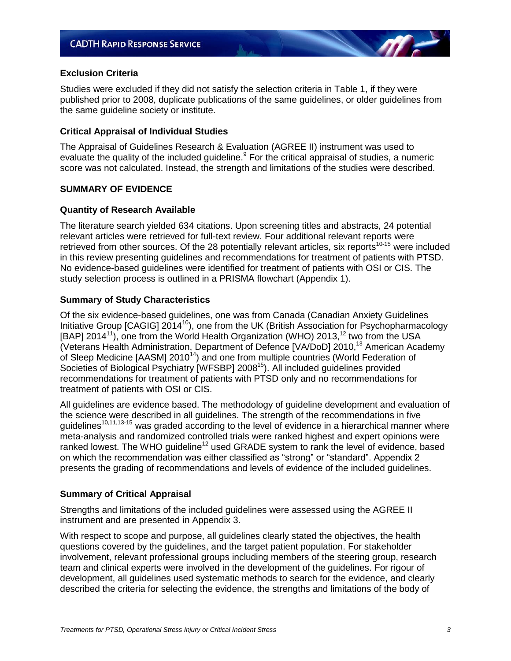#### **Exclusion Criteria**

Studies were excluded if they did not satisfy the selection criteria in Table 1, if they were published prior to 2008, duplicate publications of the same guidelines, or older guidelines from the same guideline society or institute.

#### **Critical Appraisal of Individual Studies**

The Appraisal of Guidelines Research & Evaluation (AGREE II) instrument was used to evaluate the quality of the included guideline.<sup>9</sup> For the critical appraisal of studies, a numeric score was not calculated. Instead, the strength and limitations of the studies were described.

#### **SUMMARY OF EVIDENCE**

#### **Quantity of Research Available**

The literature search yielded 634 citations. Upon screening titles and abstracts, 24 potential relevant articles were retrieved for full-text review. Four additional relevant reports were retrieved from other sources. Of the 28 potentially relevant articles, six reports<sup>10-15</sup> were included in this review presenting guidelines and recommendations for treatment of patients with PTSD. No evidence-based guidelines were identified for treatment of patients with OSI or CIS. The study selection process is outlined in a PRISMA flowchart (Appendix 1).

#### **Summary of Study Characteristics**

Of the six evidence-based guidelines, one was from Canada (Canadian Anxiety Guidelines Initiative Group [CAGIG] 2014<sup>10</sup>), one from the UK (British Association for Psychopharmacology [BAP] 2014<sup>11</sup>), one from the World Health Organization (WHO) 2013,<sup>12</sup> two from the USA (Veterans Health Administration, Department of Defence [VA/DoD] 2010,<sup>13</sup> American Academy of Sleep Medicine [AASM]  $2010^{14}$ ) and one from multiple countries (World Federation of Societies of Biological Psychiatry [WFSBP] 2008<sup>15</sup>). All included guidelines provided recommendations for treatment of patients with PTSD only and no recommendations for treatment of patients with OSI or CIS.

All guidelines are evidence based. The methodology of guideline development and evaluation of the science were described in all guidelines. The strength of the recommendations in five guidelines<sup>10,11,13-15</sup> was graded according to the level of evidence in a hierarchical manner where meta-analysis and randomized controlled trials were ranked highest and expert opinions were ranked lowest. The WHO guideline<sup>12</sup> used GRADE system to rank the level of evidence, based on which the recommendation was either classified as "strong" or "standard". Appendix 2 presents the grading of recommendations and levels of evidence of the included guidelines.

#### **Summary of Critical Appraisal**

Strengths and limitations of the included guidelines were assessed using the AGREE II instrument and are presented in Appendix 3.

With respect to scope and purpose, all guidelines clearly stated the objectives, the health questions covered by the guidelines, and the target patient population. For stakeholder involvement, relevant professional groups including members of the steering group, research team and clinical experts were involved in the development of the guidelines. For rigour of development, all guidelines used systematic methods to search for the evidence, and clearly described the criteria for selecting the evidence, the strengths and limitations of the body of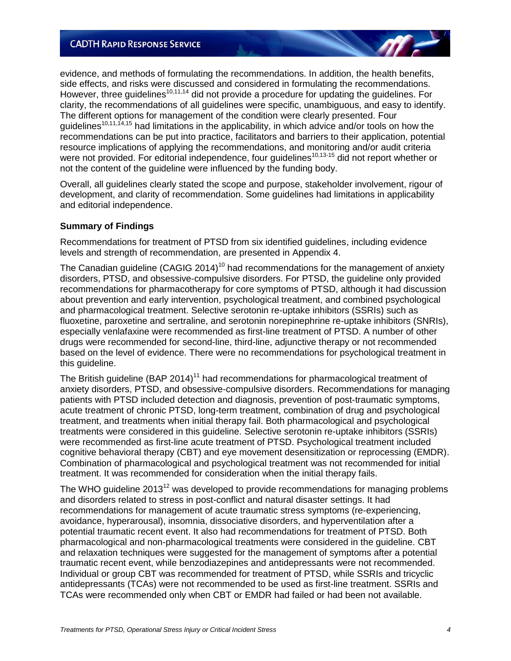evidence, and methods of formulating the recommendations. In addition, the health benefits, side effects, and risks were discussed and considered in formulating the recommendations. However, three guidelines<sup>10,11,14</sup> did not provide a procedure for updating the guidelines. For clarity, the recommendations of all guidelines were specific, unambiguous, and easy to identify. The different options for management of the condition were clearly presented. Four quidelines<sup>10,11,14,15</sup> had limitations in the applicability, in which advice and/or tools on how the recommendations can be put into practice, facilitators and barriers to their application, potential resource implications of applying the recommendations, and monitoring and/or audit criteria were not provided. For editorial independence, four quidelines<sup>10,13-15</sup> did not report whether or not the content of the guideline were influenced by the funding body.

Overall, all guidelines clearly stated the scope and purpose, stakeholder involvement, rigour of development, and clarity of recommendation. Some guidelines had limitations in applicability and editorial independence.

#### **Summary of Findings**

Recommendations for treatment of PTSD from six identified guidelines, including evidence levels and strength of recommendation, are presented in Appendix 4.

The Canadian guideline (CAGIG 2014)<sup>10</sup> had recommendations for the management of anxiety disorders, PTSD, and obsessive-compulsive disorders. For PTSD, the guideline only provided recommendations for pharmacotherapy for core symptoms of PTSD, although it had discussion about prevention and early intervention, psychological treatment, and combined psychological and pharmacological treatment. Selective serotonin re-uptake inhibitors (SSRIs) such as fluoxetine, paroxetine and sertraline, and serotonin norepinephrine re-uptake inhibitors (SNRIs), especially venlafaxine were recommended as first-line treatment of PTSD. A number of other drugs were recommended for second-line, third-line, adjunctive therapy or not recommended based on the level of evidence. There were no recommendations for psychological treatment in this guideline.

The British guideline (BAP 2014)<sup>11</sup> had recommendations for pharmacological treatment of anxiety disorders, PTSD, and obsessive-compulsive disorders. Recommendations for managing patients with PTSD included detection and diagnosis, prevention of post-traumatic symptoms, acute treatment of chronic PTSD, long-term treatment, combination of drug and psychological treatment, and treatments when initial therapy fail. Both pharmacological and psychological treatments were considered in this guideline. Selective serotonin re-uptake inhibitors (SSRIs) were recommended as first-line acute treatment of PTSD. Psychological treatment included cognitive behavioral therapy (CBT) and eye movement desensitization or reprocessing (EMDR). Combination of pharmacological and psychological treatment was not recommended for initial treatment. It was recommended for consideration when the initial therapy fails.

The WHO guideline 2013<sup>12</sup> was developed to provide recommendations for managing problems and disorders related to stress in post-conflict and natural disaster settings. It had recommendations for management of acute traumatic stress symptoms (re-experiencing, avoidance, hyperarousal), insomnia, dissociative disorders, and hyperventilation after a potential traumatic recent event. It also had recommendations for treatment of PTSD. Both pharmacological and non-pharmacological treatments were considered in the guideline. CBT and relaxation techniques were suggested for the management of symptoms after a potential traumatic recent event, while benzodiazepines and antidepressants were not recommended. Individual or group CBT was recommended for treatment of PTSD, while SSRIs and tricyclic antidepressants (TCAs) were not recommended to be used as first-line treatment. SSRIs and TCAs were recommended only when CBT or EMDR had failed or had been not available.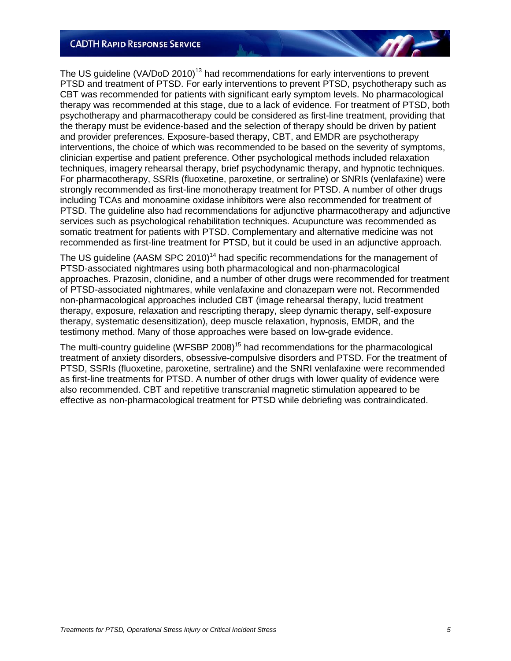The US guideline (VA/DoD 2010)<sup>13</sup> had recommendations for early interventions to prevent PTSD and treatment of PTSD. For early interventions to prevent PTSD, psychotherapy such as CBT was recommended for patients with significant early symptom levels. No pharmacological therapy was recommended at this stage, due to a lack of evidence. For treatment of PTSD, both psychotherapy and pharmacotherapy could be considered as first-line treatment, providing that the therapy must be evidence-based and the selection of therapy should be driven by patient and provider preferences. Exposure-based therapy, CBT, and EMDR are psychotherapy interventions, the choice of which was recommended to be based on the severity of symptoms, clinician expertise and patient preference. Other psychological methods included relaxation techniques, imagery rehearsal therapy, brief psychodynamic therapy, and hypnotic techniques. For pharmacotherapy, SSRIs (fluoxetine, paroxetine, or sertraline) or SNRIs (venlafaxine) were strongly recommended as first-line monotherapy treatment for PTSD. A number of other drugs including TCAs and monoamine oxidase inhibitors were also recommended for treatment of PTSD. The guideline also had recommendations for adjunctive pharmacotherapy and adjunctive services such as psychological rehabilitation techniques. Acupuncture was recommended as somatic treatment for patients with PTSD. Complementary and alternative medicine was not recommended as first-line treatment for PTSD, but it could be used in an adjunctive approach.

The US guideline (AASM SPC 2010)<sup>14</sup> had specific recommendations for the management of PTSD-associated nightmares using both pharmacological and non-pharmacological approaches. Prazosin, clonidine, and a number of other drugs were recommended for treatment of PTSD-associated nightmares, while venlafaxine and clonazepam were not. Recommended non-pharmacological approaches included CBT (image rehearsal therapy, lucid treatment therapy, exposure, relaxation and rescripting therapy, sleep dynamic therapy, self-exposure therapy, systematic desensitization), deep muscle relaxation, hypnosis, EMDR, and the testimony method. Many of those approaches were based on low-grade evidence.

The multi-country guideline (WFSBP 2008)<sup>15</sup> had recommendations for the pharmacological treatment of anxiety disorders, obsessive-compulsive disorders and PTSD. For the treatment of PTSD, SSRIs (fluoxetine, paroxetine, sertraline) and the SNRI venlafaxine were recommended as first-line treatments for PTSD. A number of other drugs with lower quality of evidence were also recommended. CBT and repetitive transcranial magnetic stimulation appeared to be effective as non-pharmacological treatment for PTSD while debriefing was contraindicated.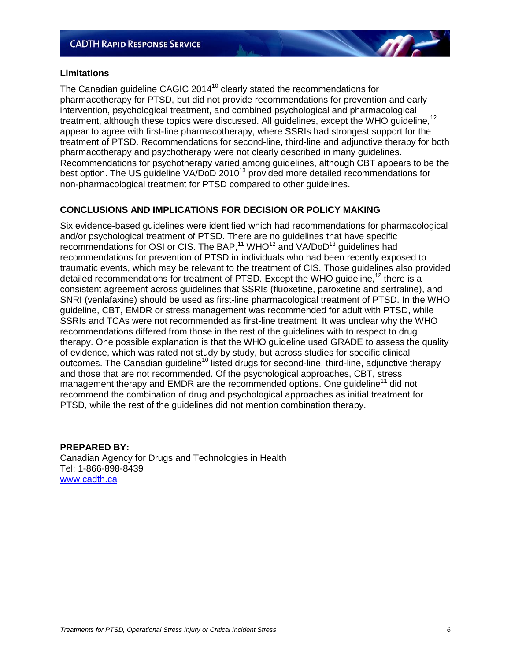#### **Limitations**

The Canadian guideline CAGIC 2014 $<sup>10</sup>$  clearly stated the recommendations for</sup> pharmacotherapy for PTSD, but did not provide recommendations for prevention and early intervention, psychological treatment, and combined psychological and pharmacological treatment, although these topics were discussed. All guidelines, except the WHO quideline.<sup>12</sup> appear to agree with first-line pharmacotherapy, where SSRIs had strongest support for the treatment of PTSD. Recommendations for second-line, third-line and adjunctive therapy for both pharmacotherapy and psychotherapy were not clearly described in many guidelines. Recommendations for psychotherapy varied among guidelines, although CBT appears to be the best option. The US quideline VA/DoD 2010<sup>13</sup> provided more detailed recommendations for non-pharmacological treatment for PTSD compared to other guidelines.

#### **CONCLUSIONS AND IMPLICATIONS FOR DECISION OR POLICY MAKING**

Six evidence-based guidelines were identified which had recommendations for pharmacological and/or psychological treatment of PTSD. There are no guidelines that have specific recommendations for OSI or CIS. The BAP,<sup>11</sup> WHO<sup>12</sup> and VA/DoD<sup>13</sup> guidelines had recommendations for prevention of PTSD in individuals who had been recently exposed to traumatic events, which may be relevant to the treatment of CIS. Those guidelines also provided detailed recommendations for treatment of PTSD. Except the WHO guideline,<sup>12</sup> there is a consistent agreement across guidelines that SSRIs (fluoxetine, paroxetine and sertraline), and SNRI (venlafaxine) should be used as first-line pharmacological treatment of PTSD. In the WHO guideline, CBT, EMDR or stress management was recommended for adult with PTSD, while SSRIs and TCAs were not recommended as first-line treatment. It was unclear why the WHO recommendations differed from those in the rest of the guidelines with to respect to drug therapy. One possible explanation is that the WHO guideline used GRADE to assess the quality of evidence, which was rated not study by study, but across studies for specific clinical outcomes. The Canadian guideline<sup>10</sup> listed drugs for second-line, third-line, adjunctive therapy and those that are not recommended. Of the psychological approaches, CBT, stress management therapy and EMDR are the recommended options. One quideline<sup>11</sup> did not recommend the combination of drug and psychological approaches as initial treatment for PTSD, while the rest of the guidelines did not mention combination therapy.

#### **PREPARED BY:**

Canadian Agency for Drugs and Technologies in Health Tel: 1-866-898-8439 [www.cadth.ca](http://www.cadth.ca/)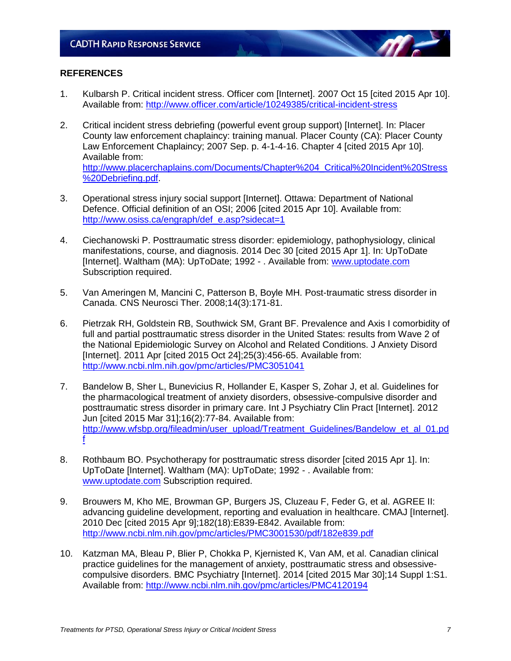#### **REFERENCES**

- 1. Kulbarsh P. Critical incident stress. Officer com [Internet]. 2007 Oct 15 [cited 2015 Apr 10]. Available from:<http://www.officer.com/article/10249385/critical-incident-stress>
- 2. Critical incident stress debriefing (powerful event group support) [Internet]*.* In: Placer County law enforcement chaplaincy: training manual. Placer County (CA): Placer County Law Enforcement Chaplaincy; 2007 Sep. p. 4-1-4-16. Chapter 4 [cited 2015 Apr 10]. Available from: [http://www.placerchaplains.com/Documents/Chapter%204\\_Critical%20Incident%20Stress](http://www.placerchaplains.com/Documents/Chapter%204_Critical%20Incident%20Stress%20Debriefing.pdf)

[%20Debriefing.pdf.](http://www.placerchaplains.com/Documents/Chapter%204_Critical%20Incident%20Stress%20Debriefing.pdf) 3. Operational stress injury social support [Internet]. Ottawa: Department of National

- Defence. Official definition of an OSI; 2006 [cited 2015 Apr 10]. Available from: [http://www.osiss.ca/engraph/def\\_e.asp?sidecat=1](http://www.osiss.ca/engraph/def_e.asp?sidecat=1)
- 4. Ciechanowski P. Posttraumatic stress disorder: epidemiology, pathophysiology, clinical manifestations, course, and diagnosis. 2014 Dec 30 [cited 2015 Apr 1]. In: UpToDate [Internet]. Waltham (MA): UpToDate; 1992 - . Available from: [www.uptodate.com](http://www.uptodate.com/) Subscription required.
- 5. Van Ameringen M, Mancini C, Patterson B, Boyle MH. Post-traumatic stress disorder in Canada. CNS Neurosci Ther. 2008;14(3):171-81.
- 6. Pietrzak RH, Goldstein RB, Southwick SM, Grant BF. Prevalence and Axis I comorbidity of full and partial posttraumatic stress disorder in the United States: results from Wave 2 of the National Epidemiologic Survey on Alcohol and Related Conditions. J Anxiety Disord [Internet]. 2011 Apr [cited 2015 Oct 24];25(3):456-65. Available from: <http://www.ncbi.nlm.nih.gov/pmc/articles/PMC3051041>
- 7. Bandelow B, Sher L, Bunevicius R, Hollander E, Kasper S, Zohar J, et al. Guidelines for the pharmacological treatment of anxiety disorders, obsessive-compulsive disorder and posttraumatic stress disorder in primary care. Int J Psychiatry Clin Pract [Internet]. 2012 Jun [cited 2015 Mar 31];16(2):77-84. Available from: [http://www.wfsbp.org/fileadmin/user\\_upload/Treatment\\_Guidelines/Bandelow\\_et\\_al\\_01.pd](http://www.wfsbp.org/fileadmin/user_upload/Treatment_Guidelines/Bandelow_et_al_01.pdf) [f](http://www.wfsbp.org/fileadmin/user_upload/Treatment_Guidelines/Bandelow_et_al_01.pdf)
- 8. Rothbaum BO. Psychotherapy for posttraumatic stress disorder [cited 2015 Apr 1]. In: UpToDate [Internet]. Waltham (MA): UpToDate; 1992 - . Available from: [www.uptodate.com](http://www.uptodate.com/) Subscription required.
- 9. Brouwers M, Kho ME, Browman GP, Burgers JS, Cluzeau F, Feder G, et al. AGREE II: advancing guideline development, reporting and evaluation in healthcare. CMAJ [Internet]. 2010 Dec [cited 2015 Apr 9];182(18):E839-E842. Available from: <http://www.ncbi.nlm.nih.gov/pmc/articles/PMC3001530/pdf/182e839.pdf>
- 10. Katzman MA, Bleau P, Blier P, Chokka P, Kjernisted K, Van AM, et al. Canadian clinical practice guidelines for the management of anxiety, posttraumatic stress and obsessivecompulsive disorders. BMC Psychiatry [Internet]. 2014 [cited 2015 Mar 30];14 Suppl 1:S1. Available from:<http://www.ncbi.nlm.nih.gov/pmc/articles/PMC4120194>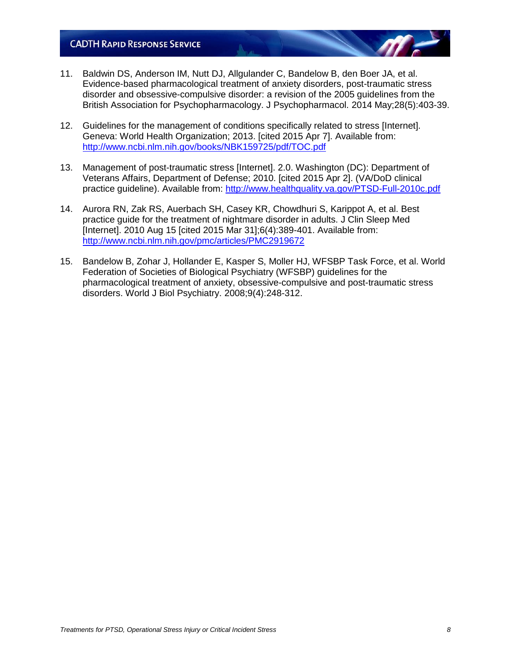- 11. Baldwin DS, Anderson IM, Nutt DJ, Allgulander C, Bandelow B, den Boer JA, et al. Evidence-based pharmacological treatment of anxiety disorders, post-traumatic stress disorder and obsessive-compulsive disorder: a revision of the 2005 guidelines from the British Association for Psychopharmacology. J Psychopharmacol. 2014 May;28(5):403-39.
- 12. Guidelines for the management of conditions specifically related to stress [Internet]. Geneva: World Health Organization; 2013. [cited 2015 Apr 7]. Available from: <http://www.ncbi.nlm.nih.gov/books/NBK159725/pdf/TOC.pdf>
- 13. Management of post-traumatic stress [Internet]. 2.0. Washington (DC): Department of Veterans Affairs, Department of Defense; 2010. [cited 2015 Apr 2]. (VA/DoD clinical practice guideline). Available from:<http://www.healthquality.va.gov/PTSD-Full-2010c.pdf>
- 14. Aurora RN, Zak RS, Auerbach SH, Casey KR, Chowdhuri S, Karippot A, et al. Best practice guide for the treatment of nightmare disorder in adults. J Clin Sleep Med [Internet]. 2010 Aug 15 [cited 2015 Mar 31];6(4):389-401. Available from: <http://www.ncbi.nlm.nih.gov/pmc/articles/PMC2919672>
- 15. Bandelow B, Zohar J, Hollander E, Kasper S, Moller HJ, WFSBP Task Force, et al. World Federation of Societies of Biological Psychiatry (WFSBP) guidelines for the pharmacological treatment of anxiety, obsessive-compulsive and post-traumatic stress disorders. World J Biol Psychiatry. 2008;9(4):248-312.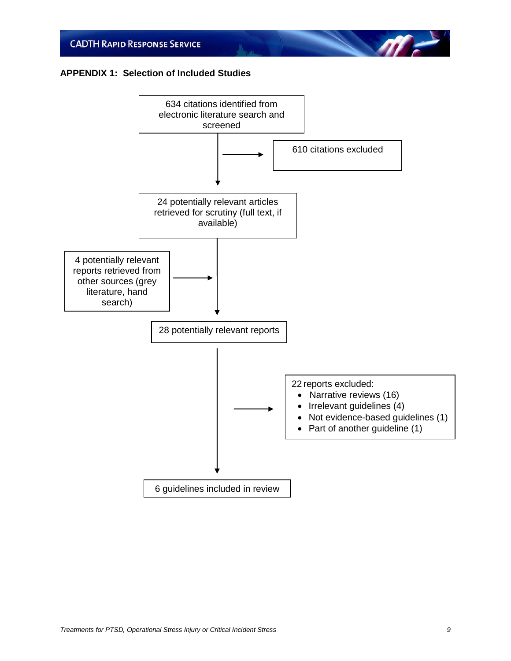#### **APPENDIX 1: Selection of Included Studies**



**All**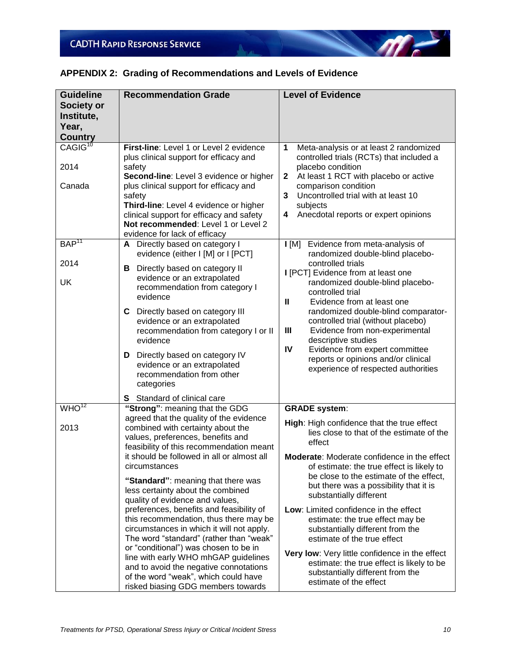| <b>Guideline</b><br>Society or<br>Institute,<br>Year,<br><b>Country</b> | <b>Recommendation Grade</b>                                                                                                                                                                                                                                                                                                                                                                                                                                                                                                                                                                                                                                                                                                                                         | <b>Level of Evidence</b>                                                                                                                                                                                                                                                                                                                                                                                                                                                                                                                                                                                                                           |
|-------------------------------------------------------------------------|---------------------------------------------------------------------------------------------------------------------------------------------------------------------------------------------------------------------------------------------------------------------------------------------------------------------------------------------------------------------------------------------------------------------------------------------------------------------------------------------------------------------------------------------------------------------------------------------------------------------------------------------------------------------------------------------------------------------------------------------------------------------|----------------------------------------------------------------------------------------------------------------------------------------------------------------------------------------------------------------------------------------------------------------------------------------------------------------------------------------------------------------------------------------------------------------------------------------------------------------------------------------------------------------------------------------------------------------------------------------------------------------------------------------------------|
| CAGIG <sup>10</sup><br>2014<br>Canada                                   | First-line: Level 1 or Level 2 evidence<br>plus clinical support for efficacy and<br>safety<br>Second-line: Level 3 evidence or higher<br>plus clinical support for efficacy and<br>safety<br>Third-line: Level 4 evidence or higher<br>clinical support for efficacy and safety<br>Not recommended: Level 1 or Level 2<br>evidence for lack of efficacy                                                                                                                                                                                                                                                                                                                                                                                                            | Meta-analysis or at least 2 randomized<br>1<br>controlled trials (RCTs) that included a<br>placebo condition<br>At least 1 RCT with placebo or active<br>$\mathbf{2}$<br>comparison condition<br>3<br>Uncontrolled trial with at least 10<br>subjects<br>Anecdotal reports or expert opinions<br>4                                                                                                                                                                                                                                                                                                                                                 |
| BAP <sup>11</sup><br>2014<br>UK                                         | A Directly based on category I<br>evidence (either I [M] or I [PCT]<br>Directly based on category II<br>в<br>evidence or an extrapolated<br>recommendation from category I<br>evidence<br>C Directly based on category III<br>evidence or an extrapolated<br>recommendation from category I or II<br>evidence<br>D Directly based on category IV<br>evidence or an extrapolated<br>recommendation from other<br>categories<br>S Standard of clinical care                                                                                                                                                                                                                                                                                                           | I [M] Evidence from meta-analysis of<br>randomized double-blind placebo-<br>controlled trials<br>I [PCT] Evidence from at least one<br>randomized double-blind placebo-<br>controlled trial<br>$\mathbf{I}$<br>Evidence from at least one<br>randomized double-blind comparator-<br>controlled trial (without placebo)<br>Evidence from non-experimental<br>Ш<br>descriptive studies<br>Evidence from expert committee<br>IV<br>reports or opinions and/or clinical<br>experience of respected authorities                                                                                                                                         |
| WHO <sup>12</sup><br>2013                                               | "Strong": meaning that the GDG<br>agreed that the quality of the evidence<br>combined with certainty about the<br>values, preferences, benefits and<br>feasibility of this recommendation meant<br>it should be followed in all or almost all<br>circumstances<br>"Standard": meaning that there was<br>less certainty about the combined<br>quality of evidence and values,<br>preferences, benefits and feasibility of<br>this recommendation, thus there may be<br>circumstances in which it will not apply.<br>The word "standard" (rather than "weak"<br>or "conditional") was chosen to be in<br>line with early WHO mhGAP guidelines<br>and to avoid the negative connotations<br>of the word "weak", which could have<br>risked biasing GDG members towards | <b>GRADE</b> system:<br>High: High confidence that the true effect<br>lies close to that of the estimate of the<br>effect<br>Moderate: Moderate confidence in the effect<br>of estimate: the true effect is likely to<br>be close to the estimate of the effect,<br>but there was a possibility that it is<br>substantially different<br>Low: Limited confidence in the effect<br>estimate: the true effect may be<br>substantially different from the<br>estimate of the true effect<br>Very low: Very little confidence in the effect<br>estimate: the true effect is likely to be<br>substantially different from the<br>estimate of the effect |

### **APPENDIX 2: Grading of Recommendations and Levels of Evidence**

 $\eta$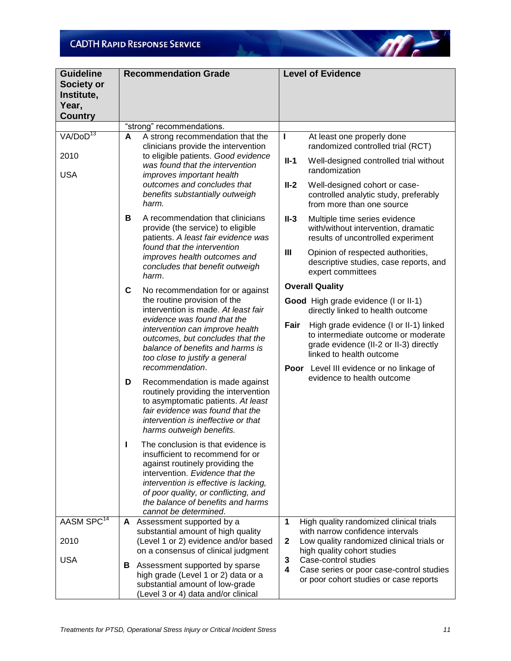| <b>Guideline</b><br>Society or<br>Institute,<br>Year,<br><b>Country</b> | <b>Recommendation Grade</b>                                                                                                                                                                                                                                                                      | <b>Level of Evidence</b>                                                                                                                                    |
|-------------------------------------------------------------------------|--------------------------------------------------------------------------------------------------------------------------------------------------------------------------------------------------------------------------------------------------------------------------------------------------|-------------------------------------------------------------------------------------------------------------------------------------------------------------|
|                                                                         | "strong" recommendations.                                                                                                                                                                                                                                                                        |                                                                                                                                                             |
| VA/DO <sup>13</sup><br>2010<br><b>USA</b>                               | A<br>A strong recommendation that the<br>clinicians provide the intervention<br>to eligible patients. Good evidence<br>was found that the intervention<br>improves important health                                                                                                              | At least one properly done<br>L<br>randomized controlled trial (RCT)<br>$II-1$<br>Well-designed controlled trial without<br>randomization                   |
|                                                                         | outcomes and concludes that<br>benefits substantially outweigh<br>harm.                                                                                                                                                                                                                          | $II-2$<br>Well-designed cohort or case-<br>controlled analytic study, preferably<br>from more than one source                                               |
|                                                                         | B<br>A recommendation that clinicians<br>provide (the service) to eligible<br>patients. A least fair evidence was                                                                                                                                                                                | $II-3$<br>Multiple time series evidence<br>with/without intervention, dramatic<br>results of uncontrolled experiment                                        |
|                                                                         | found that the intervention<br>improves health outcomes and<br>concludes that benefit outweigh<br>harm.                                                                                                                                                                                          | Ш<br>Opinion of respected authorities,<br>descriptive studies, case reports, and<br>expert committees                                                       |
|                                                                         | C<br>No recommendation for or against                                                                                                                                                                                                                                                            | <b>Overall Quality</b>                                                                                                                                      |
|                                                                         | the routine provision of the<br>intervention is made. At least fair                                                                                                                                                                                                                              | Good High grade evidence (I or II-1)<br>directly linked to health outcome                                                                                   |
|                                                                         | evidence was found that the<br>intervention can improve health<br>outcomes, but concludes that the<br>balance of benefits and harms is<br>too close to justify a general                                                                                                                         | High grade evidence (I or II-1) linked<br>Fair<br>to intermediate outcome or moderate<br>grade evidence (II-2 or II-3) directly<br>linked to health outcome |
|                                                                         | recommendation.<br>D<br>Recommendation is made against<br>routinely providing the intervention<br>to asymptomatic patients. At least<br>fair evidence was found that the<br>intervention is ineffective or that<br>harms outweigh benefits.                                                      | <b>Poor</b> Level III evidence or no linkage of<br>evidence to health outcome                                                                               |
|                                                                         | The conclusion is that evidence is<br>ı<br>insufficient to recommend for or<br>against routinely providing the<br>intervention. Evidence that the<br>intervention is effective is lacking,<br>of poor quality, or conflicting, and<br>the balance of benefits and harms<br>cannot be determined. |                                                                                                                                                             |
| AASM SPC <sup>14</sup>                                                  | A Assessment supported by a                                                                                                                                                                                                                                                                      | $\mathbf{1}$<br>High quality randomized clinical trials                                                                                                     |
| 2010                                                                    | substantial amount of high quality<br>(Level 1 or 2) evidence and/or based<br>on a consensus of clinical judgment                                                                                                                                                                                | with narrow confidence intervals<br>Low quality randomized clinical trials or<br>$\mathbf{2}$<br>high quality cohort studies                                |
| <b>USA</b>                                                              | <b>B</b> Assessment supported by sparse<br>high grade (Level 1 or 2) data or a<br>substantial amount of low-grade<br>(Level 3 or 4) data and/or clinical                                                                                                                                         | 3<br>Case-control studies<br>$\overline{\mathbf{4}}$<br>Case series or poor case-control studies<br>or poor cohort studies or case reports                  |

All and the United States

m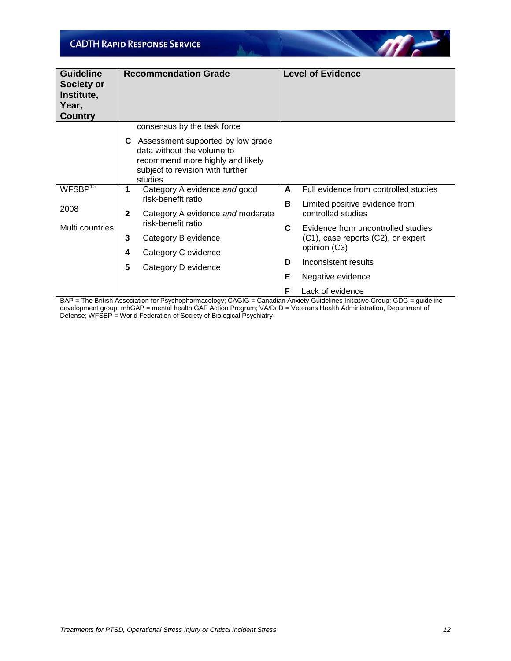| <b>Guideline</b><br><b>Society or</b><br>Institute,<br>Year,<br><b>Country</b> |              | <b>Recommendation Grade</b>                                                                                                                        |    | <b>Level of Evidence</b>                           |
|--------------------------------------------------------------------------------|--------------|----------------------------------------------------------------------------------------------------------------------------------------------------|----|----------------------------------------------------|
|                                                                                |              | consensus by the task force                                                                                                                        |    |                                                    |
|                                                                                | C.           | Assessment supported by low grade<br>data without the volume to<br>recommend more highly and likely<br>subject to revision with further<br>studies |    |                                                    |
| WFSBP <sup>15</sup>                                                            | 1            | Category A evidence and good                                                                                                                       | A  | Full evidence from controlled studies              |
| 2008                                                                           |              | risk-benefit ratio                                                                                                                                 | B  | Limited positive evidence from                     |
|                                                                                | $\mathbf{2}$ | Category A evidence and moderate<br>risk-benefit ratio                                                                                             |    | controlled studies                                 |
| Multi countries                                                                |              |                                                                                                                                                    | C. | Evidence from uncontrolled studies                 |
|                                                                                | 3            | Category B evidence                                                                                                                                |    | (C1), case reports (C2), or expert<br>opinion (C3) |
|                                                                                | 4            | Category C evidence                                                                                                                                |    |                                                    |
|                                                                                | 5            | Category D evidence                                                                                                                                | D  | Inconsistent results                               |
|                                                                                |              |                                                                                                                                                    | Е  | Negative evidence                                  |
|                                                                                |              |                                                                                                                                                    | F  | Lack of evidence                                   |

A.

 $\mathscr{M}$ 

BAP = The British Association for Psychopharmacology; CAGIG = Canadian Anxiety Guidelines Initiative Group; GDG = guideline development group; mhGAP = mental health GAP Action Program; VA/DoD = Veterans Health Administration, Department of Defense; WFSBP = World Federation of Society of Biological Psychiatry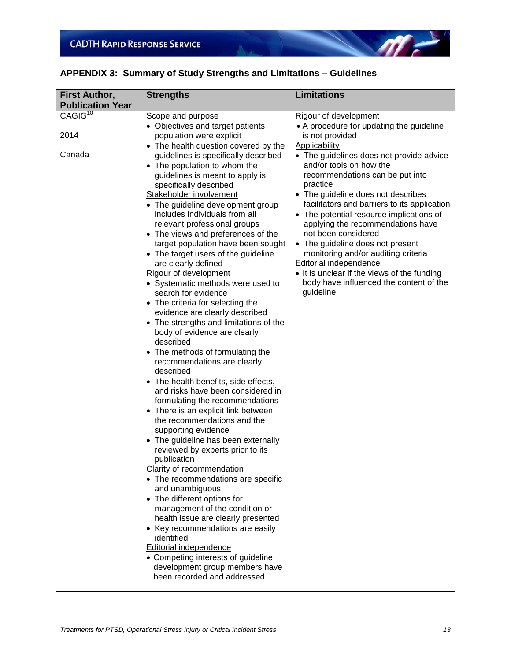

|  |  |  | APPENDIX 3: Summary of Study Strengths and Limitations - Guidelines |  |  |
|--|--|--|---------------------------------------------------------------------|--|--|
|--|--|--|---------------------------------------------------------------------|--|--|

All and the United States

| <b>First Author,</b>    | <b>Strengths</b>                                                       | <b>Limitations</b>                                   |
|-------------------------|------------------------------------------------------------------------|------------------------------------------------------|
| <b>Publication Year</b> |                                                                        |                                                      |
| CAGIG <sup>10</sup>     | Scope and purpose                                                      | Rigour of development                                |
|                         | • Objectives and target patients                                       | • A procedure for updating the guideline             |
| 2014                    | population were explicit                                               | is not provided                                      |
|                         | • The health question covered by the                                   | <b>Applicability</b>                                 |
| Canada                  | guidelines is specifically described                                   | • The guidelines does not provide advice             |
|                         | • The population to whom the                                           | and/or tools on how the                              |
|                         | guidelines is meant to apply is<br>specifically described              | recommendations can be put into<br>practice          |
|                         | Stakeholder involvement                                                | • The guideline does not describes                   |
|                         | • The guideline development group                                      | facilitators and barriers to its application         |
|                         | includes individuals from all                                          | • The potential resource implications of             |
|                         | relevant professional groups                                           | applying the recommendations have                    |
|                         | • The views and preferences of the                                     | not been considered                                  |
|                         | target population have been sought                                     | • The guideline does not present                     |
|                         | • The target users of the guideline                                    | monitoring and/or auditing criteria                  |
|                         | are clearly defined                                                    | Editorial independence                               |
|                         | Rigour of development                                                  | • It is unclear if the views of the funding          |
|                         | • Systematic methods were used to                                      | body have influenced the content of the<br>guideline |
|                         | search for evidence<br>• The criteria for selecting the                |                                                      |
|                         | evidence are clearly described                                         |                                                      |
|                         | • The strengths and limitations of the                                 |                                                      |
|                         | body of evidence are clearly                                           |                                                      |
|                         | described                                                              |                                                      |
|                         | • The methods of formulating the                                       |                                                      |
|                         | recommendations are clearly                                            |                                                      |
|                         | described                                                              |                                                      |
|                         | • The health benefits, side effects,                                   |                                                      |
|                         | and risks have been considered in                                      |                                                      |
|                         | formulating the recommendations<br>• There is an explicit link between |                                                      |
|                         | the recommendations and the                                            |                                                      |
|                         | supporting evidence                                                    |                                                      |
|                         | • The guideline has been externally                                    |                                                      |
|                         | reviewed by experts prior to its                                       |                                                      |
|                         | publication                                                            |                                                      |
|                         | Clarity of recommendation                                              |                                                      |
|                         | • The recommendations are specific                                     |                                                      |
|                         | and unambiguous                                                        |                                                      |
|                         | • The different options for                                            |                                                      |
|                         | management of the condition or<br>health issue are clearly presented   |                                                      |
|                         | • Key recommendations are easily                                       |                                                      |
|                         | identified                                                             |                                                      |
|                         | <b>Editorial independence</b>                                          |                                                      |
|                         | • Competing interests of guideline                                     |                                                      |
|                         | development group members have                                         |                                                      |
|                         | been recorded and addressed                                            |                                                      |
|                         |                                                                        |                                                      |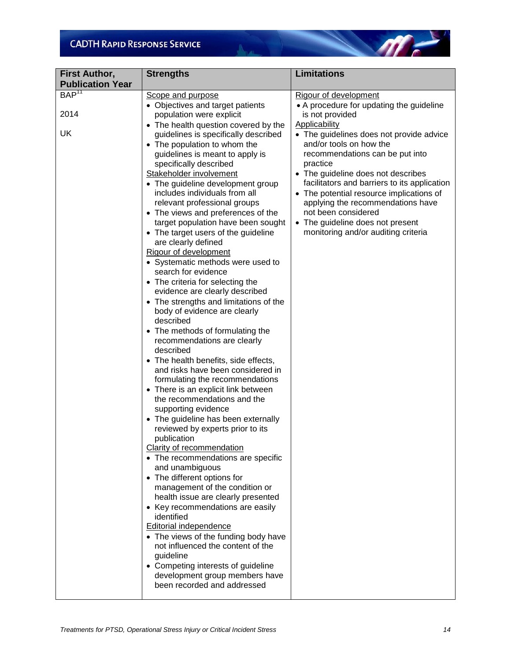| <b>First Author,</b><br><b>Publication Year</b> | <b>Strengths</b>                               | <b>Limitations</b>                           |
|-------------------------------------------------|------------------------------------------------|----------------------------------------------|
| BAP <sup>11</sup>                               | Scope and purpose                              | Rigour of development                        |
|                                                 | • Objectives and target patients               | • A procedure for updating the guideline     |
| 2014                                            | population were explicit                       | is not provided                              |
|                                                 | • The health question covered by the           | <b>Applicability</b>                         |
| UK                                              | guidelines is specifically described           | • The guidelines does not provide advice     |
|                                                 | • The population to whom the                   | and/or tools on how the                      |
|                                                 | guidelines is meant to apply is                | recommendations can be put into              |
|                                                 | specifically described                         | practice                                     |
|                                                 | Stakeholder involvement                        | • The guideline does not describes           |
|                                                 | • The guideline development group              | facilitators and barriers to its application |
|                                                 | includes individuals from all                  | • The potential resource implications of     |
|                                                 | relevant professional groups                   | applying the recommendations have            |
|                                                 | • The views and preferences of the             | not been considered                          |
|                                                 | target population have been sought             | • The guideline does not present             |
|                                                 | • The target users of the guideline            | monitoring and/or auditing criteria          |
|                                                 | are clearly defined                            |                                              |
|                                                 | Rigour of development                          |                                              |
|                                                 | • Systematic methods were used to              |                                              |
|                                                 | search for evidence                            |                                              |
|                                                 | • The criteria for selecting the               |                                              |
|                                                 | evidence are clearly described                 |                                              |
|                                                 | • The strengths and limitations of the         |                                              |
|                                                 | body of evidence are clearly<br>described      |                                              |
|                                                 | • The methods of formulating the               |                                              |
|                                                 | recommendations are clearly                    |                                              |
|                                                 | described                                      |                                              |
|                                                 | • The health benefits, side effects,           |                                              |
|                                                 | and risks have been considered in              |                                              |
|                                                 | formulating the recommendations                |                                              |
|                                                 | • There is an explicit link between            |                                              |
|                                                 | the recommendations and the                    |                                              |
|                                                 | supporting evidence                            |                                              |
|                                                 | • The guideline has been externally            |                                              |
|                                                 | reviewed by experts prior to its               |                                              |
|                                                 | publication                                    |                                              |
|                                                 | <b>Clarity of recommendation</b>               |                                              |
|                                                 | • The recommendations are specific             |                                              |
|                                                 | and unambiguous<br>• The different options for |                                              |
|                                                 | management of the condition or                 |                                              |
|                                                 | health issue are clearly presented             |                                              |
|                                                 | • Key recommendations are easily               |                                              |
|                                                 | identified                                     |                                              |
|                                                 | <b>Editorial independence</b>                  |                                              |
|                                                 | • The views of the funding body have           |                                              |
|                                                 | not influenced the content of the              |                                              |
|                                                 | guideline                                      |                                              |
|                                                 | • Competing interests of guideline             |                                              |
|                                                 | development group members have                 |                                              |
|                                                 | been recorded and addressed                    |                                              |
|                                                 |                                                |                                              |

All and the United States

 $\sqrt{m}$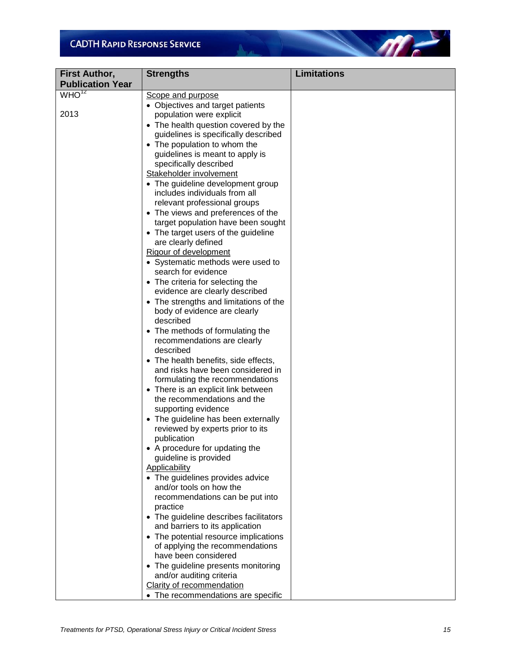| <b>First Author,</b>    | <b>Strengths</b>                                                          | Limitations |
|-------------------------|---------------------------------------------------------------------------|-------------|
| <b>Publication Year</b> |                                                                           |             |
| WHO <sup>12</sup>       | Scope and purpose                                                         |             |
|                         | • Objectives and target patients                                          |             |
| 2013                    | population were explicit                                                  |             |
|                         | • The health question covered by the                                      |             |
|                         | guidelines is specifically described                                      |             |
|                         | • The population to whom the                                              |             |
|                         | guidelines is meant to apply is                                           |             |
|                         | specifically described                                                    |             |
|                         | Stakeholder involvement                                                   |             |
|                         | • The guideline development group<br>includes individuals from all        |             |
|                         | relevant professional groups                                              |             |
|                         | • The views and preferences of the                                        |             |
|                         | target population have been sought                                        |             |
|                         | • The target users of the guideline                                       |             |
|                         | are clearly defined                                                       |             |
|                         | Rigour of development                                                     |             |
|                         | • Systematic methods were used to                                         |             |
|                         | search for evidence                                                       |             |
|                         | • The criteria for selecting the                                          |             |
|                         | evidence are clearly described                                            |             |
|                         | • The strengths and limitations of the                                    |             |
|                         | body of evidence are clearly                                              |             |
|                         | described                                                                 |             |
|                         | • The methods of formulating the                                          |             |
|                         | recommendations are clearly                                               |             |
|                         | described                                                                 |             |
|                         | • The health benefits, side effects,<br>and risks have been considered in |             |
|                         | formulating the recommendations                                           |             |
|                         | • There is an explicit link between                                       |             |
|                         | the recommendations and the                                               |             |
|                         | supporting evidence                                                       |             |
|                         | • The guideline has been externally                                       |             |
|                         | reviewed by experts prior to its                                          |             |
|                         | publication                                                               |             |
|                         | • A procedure for updating the                                            |             |
|                         | guideline is provided                                                     |             |
|                         | <b>Applicability</b>                                                      |             |
|                         | • The guidelines provides advice                                          |             |
|                         | and/or tools on how the                                                   |             |
|                         | recommendations can be put into                                           |             |
|                         | practice<br>• The guideline describes facilitators                        |             |
|                         | and barriers to its application                                           |             |
|                         | • The potential resource implications                                     |             |
|                         | of applying the recommendations                                           |             |
|                         | have been considered                                                      |             |
|                         | • The guideline presents monitoring                                       |             |
|                         | and/or auditing criteria                                                  |             |
|                         | Clarity of recommendation                                                 |             |
|                         | • The recommendations are specific                                        |             |

All and the United States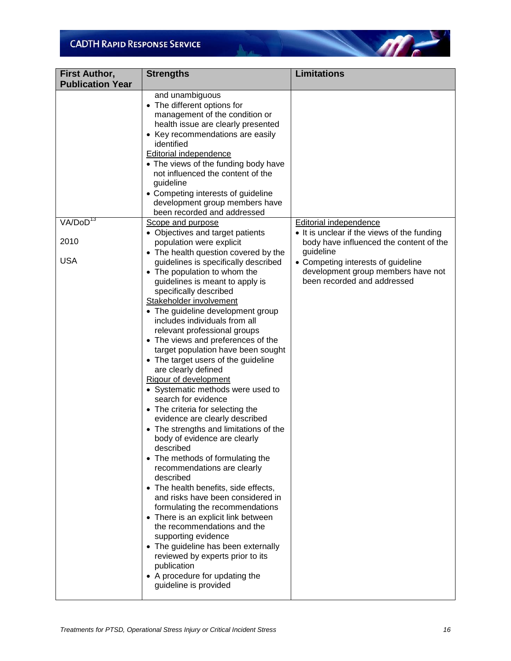| <b>First Author,</b>    | <b>Strengths</b>                                                                                                                                                                                                                                                                                                                                                                                                                                                                                                                                                                                                                                                                                                                                                                                                                                                                                                                                                                                                                                                                                                                                         | <b>Limitations</b>                                                                                                   |
|-------------------------|----------------------------------------------------------------------------------------------------------------------------------------------------------------------------------------------------------------------------------------------------------------------------------------------------------------------------------------------------------------------------------------------------------------------------------------------------------------------------------------------------------------------------------------------------------------------------------------------------------------------------------------------------------------------------------------------------------------------------------------------------------------------------------------------------------------------------------------------------------------------------------------------------------------------------------------------------------------------------------------------------------------------------------------------------------------------------------------------------------------------------------------------------------|----------------------------------------------------------------------------------------------------------------------|
| <b>Publication Year</b> |                                                                                                                                                                                                                                                                                                                                                                                                                                                                                                                                                                                                                                                                                                                                                                                                                                                                                                                                                                                                                                                                                                                                                          |                                                                                                                      |
|                         | and unambiguous<br>• The different options for<br>management of the condition or<br>health issue are clearly presented<br>• Key recommendations are easily<br>identified<br><b>Editorial independence</b><br>• The views of the funding body have<br>not influenced the content of the<br>guideline<br>• Competing interests of guideline<br>development group members have<br>been recorded and addressed                                                                                                                                                                                                                                                                                                                                                                                                                                                                                                                                                                                                                                                                                                                                               |                                                                                                                      |
| VA/DoD <sup>13</sup>    | Scope and purpose                                                                                                                                                                                                                                                                                                                                                                                                                                                                                                                                                                                                                                                                                                                                                                                                                                                                                                                                                                                                                                                                                                                                        | <b>Editorial independence</b>                                                                                        |
| 2010                    | • Objectives and target patients<br>population were explicit                                                                                                                                                                                                                                                                                                                                                                                                                                                                                                                                                                                                                                                                                                                                                                                                                                                                                                                                                                                                                                                                                             | • It is unclear if the views of the funding<br>body have influenced the content of the                               |
| <b>USA</b>              | • The health question covered by the<br>guidelines is specifically described<br>• The population to whom the<br>guidelines is meant to apply is<br>specifically described<br>Stakeholder involvement<br>• The guideline development group<br>includes individuals from all<br>relevant professional groups<br>• The views and preferences of the<br>target population have been sought<br>• The target users of the guideline<br>are clearly defined<br>Rigour of development<br>• Systematic methods were used to<br>search for evidence<br>• The criteria for selecting the<br>evidence are clearly described<br>• The strengths and limitations of the<br>body of evidence are clearly<br>described<br>• The methods of formulating the<br>recommendations are clearly<br>described<br>• The health benefits, side effects,<br>and risks have been considered in<br>formulating the recommendations<br>• There is an explicit link between<br>the recommendations and the<br>supporting evidence<br>• The guideline has been externally<br>reviewed by experts prior to its<br>publication<br>• A procedure for updating the<br>guideline is provided | guideline<br>• Competing interests of guideline<br>development group members have not<br>been recorded and addressed |

All and the United States

 $\sqrt{m}$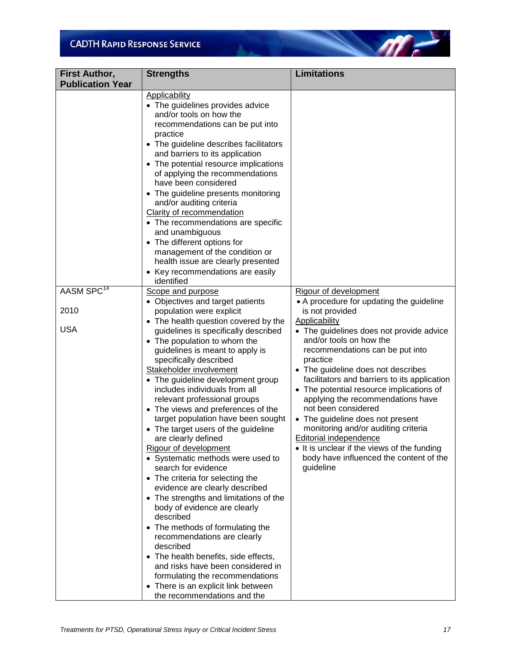| <b>First Author,</b>    | <b>Strengths</b>                                                                                                                                                                                                                                                                                                                                                                                                                                                                                                                                                                                                                                                                                                                                                                                                                                                                                                                                                             | <b>Limitations</b>                                                                                                                                                                                                                                                                                                                                                                                                                                                                                                                            |
|-------------------------|------------------------------------------------------------------------------------------------------------------------------------------------------------------------------------------------------------------------------------------------------------------------------------------------------------------------------------------------------------------------------------------------------------------------------------------------------------------------------------------------------------------------------------------------------------------------------------------------------------------------------------------------------------------------------------------------------------------------------------------------------------------------------------------------------------------------------------------------------------------------------------------------------------------------------------------------------------------------------|-----------------------------------------------------------------------------------------------------------------------------------------------------------------------------------------------------------------------------------------------------------------------------------------------------------------------------------------------------------------------------------------------------------------------------------------------------------------------------------------------------------------------------------------------|
| <b>Publication Year</b> |                                                                                                                                                                                                                                                                                                                                                                                                                                                                                                                                                                                                                                                                                                                                                                                                                                                                                                                                                                              |                                                                                                                                                                                                                                                                                                                                                                                                                                                                                                                                               |
|                         | <b>Applicability</b><br>• The guidelines provides advice<br>and/or tools on how the<br>recommendations can be put into<br>practice<br>• The guideline describes facilitators<br>and barriers to its application<br>• The potential resource implications<br>of applying the recommendations<br>have been considered<br>• The guideline presents monitoring<br>and/or auditing criteria<br>Clarity of recommendation<br>• The recommendations are specific<br>and unambiguous<br>• The different options for<br>management of the condition or<br>health issue are clearly presented<br>• Key recommendations are easily                                                                                                                                                                                                                                                                                                                                                      |                                                                                                                                                                                                                                                                                                                                                                                                                                                                                                                                               |
| AASM SPC <sup>14</sup>  | identified<br>Scope and purpose                                                                                                                                                                                                                                                                                                                                                                                                                                                                                                                                                                                                                                                                                                                                                                                                                                                                                                                                              | Rigour of development                                                                                                                                                                                                                                                                                                                                                                                                                                                                                                                         |
|                         | • Objectives and target patients                                                                                                                                                                                                                                                                                                                                                                                                                                                                                                                                                                                                                                                                                                                                                                                                                                                                                                                                             | • A procedure for updating the guideline                                                                                                                                                                                                                                                                                                                                                                                                                                                                                                      |
| 2010                    | population were explicit                                                                                                                                                                                                                                                                                                                                                                                                                                                                                                                                                                                                                                                                                                                                                                                                                                                                                                                                                     | is not provided                                                                                                                                                                                                                                                                                                                                                                                                                                                                                                                               |
| <b>USA</b>              | • The health question covered by the<br>guidelines is specifically described<br>• The population to whom the<br>guidelines is meant to apply is<br>specifically described<br>Stakeholder involvement<br>• The guideline development group<br>includes individuals from all<br>relevant professional groups<br>• The views and preferences of the<br>target population have been sought<br>• The target users of the guideline<br>are clearly defined<br>Rigour of development<br>• Systematic methods were used to<br>search for evidence<br>• The criteria for selecting the<br>evidence are clearly described<br>• The strengths and limitations of the<br>body of evidence are clearly<br>described<br>• The methods of formulating the<br>recommendations are clearly<br>described<br>• The health benefits, side effects,<br>and risks have been considered in<br>formulating the recommendations<br>• There is an explicit link between<br>the recommendations and the | Applicability<br>• The guidelines does not provide advice<br>and/or tools on how the<br>recommendations can be put into<br>practice<br>• The guideline does not describes<br>facilitators and barriers to its application<br>• The potential resource implications of<br>applying the recommendations have<br>not been considered<br>• The guideline does not present<br>monitoring and/or auditing criteria<br>Editorial independence<br>• It is unclear if the views of the funding<br>body have influenced the content of the<br>guideline |

All and the United States

m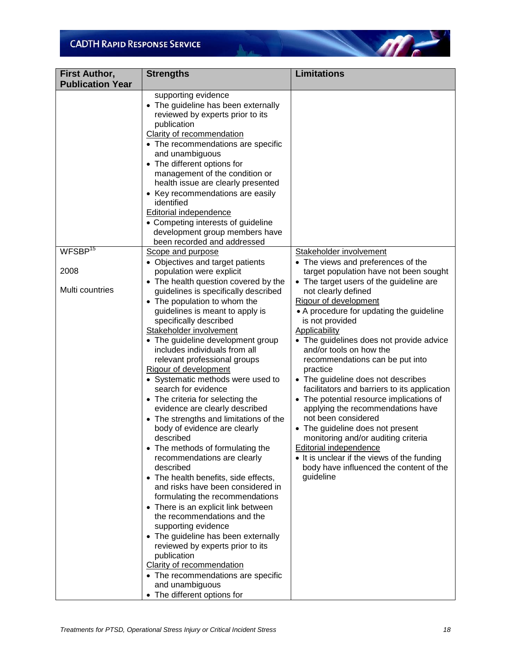| <b>First Author,</b>    | <b>Strengths</b>                                                                                                                                                                                                                                                                                                                                                                                                                                                                                                                                                                                                                                                                                                                                                                                                                                                 | <b>Limitations</b>                                                                                                                                                                                                                                                                                                                                                                                                                                                                                                                  |
|-------------------------|------------------------------------------------------------------------------------------------------------------------------------------------------------------------------------------------------------------------------------------------------------------------------------------------------------------------------------------------------------------------------------------------------------------------------------------------------------------------------------------------------------------------------------------------------------------------------------------------------------------------------------------------------------------------------------------------------------------------------------------------------------------------------------------------------------------------------------------------------------------|-------------------------------------------------------------------------------------------------------------------------------------------------------------------------------------------------------------------------------------------------------------------------------------------------------------------------------------------------------------------------------------------------------------------------------------------------------------------------------------------------------------------------------------|
| <b>Publication Year</b> |                                                                                                                                                                                                                                                                                                                                                                                                                                                                                                                                                                                                                                                                                                                                                                                                                                                                  |                                                                                                                                                                                                                                                                                                                                                                                                                                                                                                                                     |
|                         | supporting evidence<br>• The guideline has been externally<br>reviewed by experts prior to its<br>publication<br>Clarity of recommendation<br>• The recommendations are specific<br>and unambiguous<br>• The different options for<br>management of the condition or<br>health issue are clearly presented<br>• Key recommendations are easily<br>identified<br>Editorial independence<br>• Competing interests of guideline<br>development group members have<br>been recorded and addressed                                                                                                                                                                                                                                                                                                                                                                    |                                                                                                                                                                                                                                                                                                                                                                                                                                                                                                                                     |
| WFSBP <sup>15</sup>     | Scope and purpose                                                                                                                                                                                                                                                                                                                                                                                                                                                                                                                                                                                                                                                                                                                                                                                                                                                | Stakeholder involvement                                                                                                                                                                                                                                                                                                                                                                                                                                                                                                             |
| 2008                    | • Objectives and target patients<br>population were explicit                                                                                                                                                                                                                                                                                                                                                                                                                                                                                                                                                                                                                                                                                                                                                                                                     | • The views and preferences of the<br>target population have not been sought                                                                                                                                                                                                                                                                                                                                                                                                                                                        |
|                         | • The health question covered by the                                                                                                                                                                                                                                                                                                                                                                                                                                                                                                                                                                                                                                                                                                                                                                                                                             | • The target users of the guideline are                                                                                                                                                                                                                                                                                                                                                                                                                                                                                             |
| Multi countries         | guidelines is specifically described                                                                                                                                                                                                                                                                                                                                                                                                                                                                                                                                                                                                                                                                                                                                                                                                                             | not clearly defined                                                                                                                                                                                                                                                                                                                                                                                                                                                                                                                 |
|                         | • The population to whom the                                                                                                                                                                                                                                                                                                                                                                                                                                                                                                                                                                                                                                                                                                                                                                                                                                     | Rigour of development                                                                                                                                                                                                                                                                                                                                                                                                                                                                                                               |
|                         | guidelines is meant to apply is                                                                                                                                                                                                                                                                                                                                                                                                                                                                                                                                                                                                                                                                                                                                                                                                                                  | • A procedure for updating the guideline<br>is not provided                                                                                                                                                                                                                                                                                                                                                                                                                                                                         |
|                         | specifically described<br>Stakeholder involvement                                                                                                                                                                                                                                                                                                                                                                                                                                                                                                                                                                                                                                                                                                                                                                                                                | <b>Applicability</b>                                                                                                                                                                                                                                                                                                                                                                                                                                                                                                                |
|                         | • The guideline development group<br>includes individuals from all<br>relevant professional groups<br>Rigour of development<br>• Systematic methods were used to<br>search for evidence<br>• The criteria for selecting the<br>evidence are clearly described<br>• The strengths and limitations of the<br>body of evidence are clearly<br>described<br>• The methods of formulating the<br>recommendations are clearly<br>described<br>• The health benefits, side effects,<br>and risks have been considered in<br>formulating the recommendations<br>• There is an explicit link between<br>the recommendations and the<br>supporting evidence<br>• The guideline has been externally<br>reviewed by experts prior to its<br>publication<br>Clarity of recommendation<br>• The recommendations are specific<br>and unambiguous<br>• The different options for | • The guidelines does not provide advice<br>and/or tools on how the<br>recommendations can be put into<br>practice<br>• The guideline does not describes<br>facilitators and barriers to its application<br>• The potential resource implications of<br>applying the recommendations have<br>not been considered<br>• The guideline does not present<br>monitoring and/or auditing criteria<br><b>Editorial independence</b><br>• It is unclear if the views of the funding<br>body have influenced the content of the<br>guideline |

All and the United States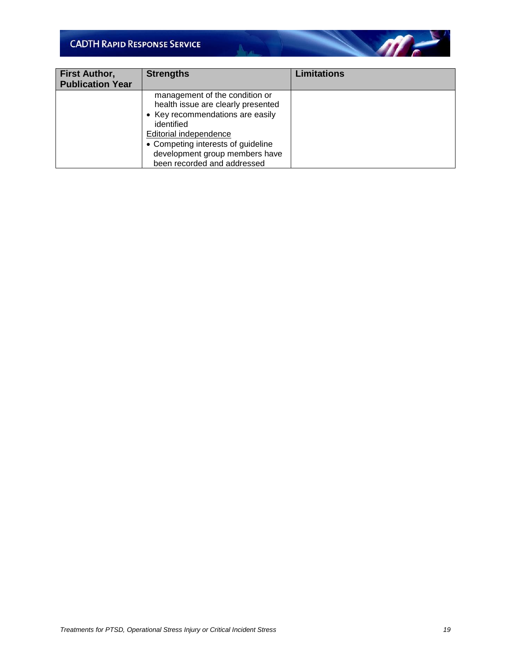| <b>First Author,</b><br><b>Publication Year</b> | <b>Strengths</b>                                                                                                                                                                                                                                        | <b>Limitations</b> |
|-------------------------------------------------|---------------------------------------------------------------------------------------------------------------------------------------------------------------------------------------------------------------------------------------------------------|--------------------|
|                                                 | management of the condition or<br>health issue are clearly presented<br>• Key recommendations are easily<br>identified<br>Editorial independence<br>• Competing interests of guideline<br>development group members have<br>been recorded and addressed |                    |

All and the United States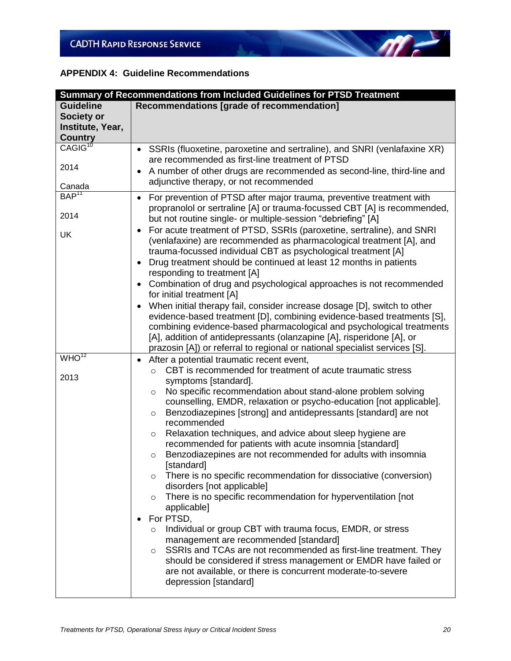#### **APPENDIX 4: Guideline Recommendations**

| Summary of Recommendations from Included Guidelines for PTSD Treatment |                                                                                                                                                                                                                                                                                                                                                                                                                                                                                                                                                                                                                                                                                                                                                                                                                                                                                                                                                                                                                                                                                                                                                                           |  |
|------------------------------------------------------------------------|---------------------------------------------------------------------------------------------------------------------------------------------------------------------------------------------------------------------------------------------------------------------------------------------------------------------------------------------------------------------------------------------------------------------------------------------------------------------------------------------------------------------------------------------------------------------------------------------------------------------------------------------------------------------------------------------------------------------------------------------------------------------------------------------------------------------------------------------------------------------------------------------------------------------------------------------------------------------------------------------------------------------------------------------------------------------------------------------------------------------------------------------------------------------------|--|
| <b>Guideline</b>                                                       | Recommendations [grade of recommendation]                                                                                                                                                                                                                                                                                                                                                                                                                                                                                                                                                                                                                                                                                                                                                                                                                                                                                                                                                                                                                                                                                                                                 |  |
| <b>Society or</b>                                                      |                                                                                                                                                                                                                                                                                                                                                                                                                                                                                                                                                                                                                                                                                                                                                                                                                                                                                                                                                                                                                                                                                                                                                                           |  |
| Institute, Year,                                                       |                                                                                                                                                                                                                                                                                                                                                                                                                                                                                                                                                                                                                                                                                                                                                                                                                                                                                                                                                                                                                                                                                                                                                                           |  |
| <b>Country</b>                                                         |                                                                                                                                                                                                                                                                                                                                                                                                                                                                                                                                                                                                                                                                                                                                                                                                                                                                                                                                                                                                                                                                                                                                                                           |  |
| CAGIG <sup>10</sup>                                                    | SSRIs (fluoxetine, paroxetine and sertraline), and SNRI (venlafaxine XR)<br>$\bullet$<br>are recommended as first-line treatment of PTSD                                                                                                                                                                                                                                                                                                                                                                                                                                                                                                                                                                                                                                                                                                                                                                                                                                                                                                                                                                                                                                  |  |
| 2014                                                                   | A number of other drugs are recommended as second-line, third-line and<br>$\bullet$                                                                                                                                                                                                                                                                                                                                                                                                                                                                                                                                                                                                                                                                                                                                                                                                                                                                                                                                                                                                                                                                                       |  |
|                                                                        | adjunctive therapy, or not recommended                                                                                                                                                                                                                                                                                                                                                                                                                                                                                                                                                                                                                                                                                                                                                                                                                                                                                                                                                                                                                                                                                                                                    |  |
| Canada                                                                 |                                                                                                                                                                                                                                                                                                                                                                                                                                                                                                                                                                                                                                                                                                                                                                                                                                                                                                                                                                                                                                                                                                                                                                           |  |
| BAP <sup>11</sup><br>2014<br>UK                                        | For prevention of PTSD after major trauma, preventive treatment with<br>$\bullet$<br>propranolol or sertraline [A] or trauma-focussed CBT [A] is recommended,<br>but not routine single- or multiple-session "debriefing" [A]<br>For acute treatment of PTSD, SSRIs (paroxetine, sertraline), and SNRI<br>٠<br>(venlafaxine) are recommended as pharmacological treatment [A], and<br>trauma-focussed individual CBT as psychological treatment [A]<br>Drug treatment should be continued at least 12 months in patients<br>$\bullet$<br>responding to treatment [A]<br>Combination of drug and psychological approaches is not recommended<br>$\bullet$<br>for initial treatment [A]                                                                                                                                                                                                                                                                                                                                                                                                                                                                                     |  |
|                                                                        | When initial therapy fail, consider increase dosage [D], switch to other<br>$\bullet$<br>evidence-based treatment [D], combining evidence-based treatments [S],<br>combining evidence-based pharmacological and psychological treatments<br>[A], addition of antidepressants (olanzapine [A], risperidone [A], or<br>prazosin [A]) or referral to regional or national specialist services [S].                                                                                                                                                                                                                                                                                                                                                                                                                                                                                                                                                                                                                                                                                                                                                                           |  |
| $WHO^{12}$                                                             | After a potential traumatic recent event,<br>$\bullet$                                                                                                                                                                                                                                                                                                                                                                                                                                                                                                                                                                                                                                                                                                                                                                                                                                                                                                                                                                                                                                                                                                                    |  |
| 2013                                                                   | CBT is recommended for treatment of acute traumatic stress<br>$\circ$<br>symptoms [standard].<br>No specific recommendation about stand-alone problem solving<br>$\circ$<br>counselling, EMDR, relaxation or psycho-education [not applicable].<br>Benzodiazepines [strong] and antidepressants [standard] are not<br>$\circ$<br>recommended<br>Relaxation techniques, and advice about sleep hygiene are<br>$\circ$<br>recommended for patients with acute insomnia [standard]<br>Benzodiazepines are not recommended for adults with insomnia<br>$\circ$<br>[standard]<br>There is no specific recommendation for dissociative (conversion)<br>$\circ$<br>disorders [not applicable]<br>There is no specific recommendation for hyperventilation [not<br>$\circ$<br>applicable]<br>For PTSD,<br>$\bullet$<br>Individual or group CBT with trauma focus, EMDR, or stress<br>$\circ$<br>management are recommended [standard]<br>SSRIs and TCAs are not recommended as first-line treatment. They<br>$\circ$<br>should be considered if stress management or EMDR have failed or<br>are not available, or there is concurrent moderate-to-severe<br>depression [standard] |  |

 $\mathbb{N}$ 

 $\mathscr{M}$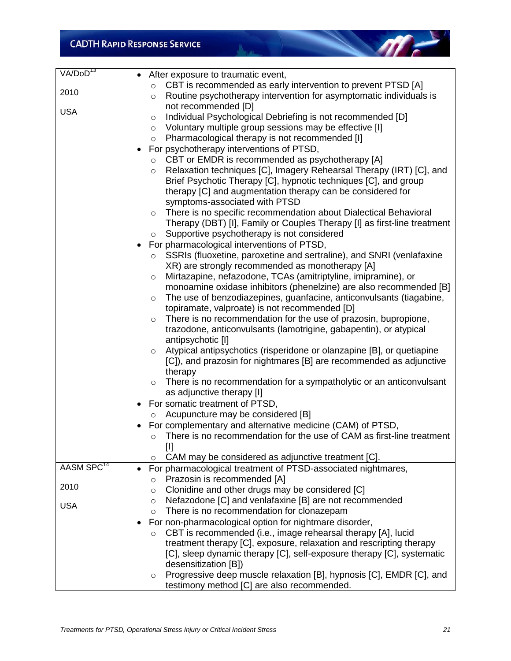| VAVDoD <sup>13</sup>   | After exposure to traumatic event,<br>$\bullet$                                  |
|------------------------|----------------------------------------------------------------------------------|
|                        | CBT is recommended as early intervention to prevent PTSD [A]<br>$\circ$          |
| 2010                   | Routine psychotherapy intervention for asymptomatic individuals is<br>$\circ$    |
|                        | not recommended [D]                                                              |
| <b>USA</b>             | Individual Psychological Debriefing is not recommended [D]<br>$\circ$            |
|                        | Voluntary multiple group sessions may be effective [I]<br>$\circ$                |
|                        | Pharmacological therapy is not recommended [I]<br>$\circ$                        |
|                        | For psychotherapy interventions of PTSD,                                         |
|                        | CBT or EMDR is recommended as psychotherapy [A]<br>$\circ$                       |
|                        | Relaxation techniques [C], Imagery Rehearsal Therapy (IRT) [C], and<br>$\circ$   |
|                        | Brief Psychotic Therapy [C], hypnotic techniques [C], and group                  |
|                        | therapy [C] and augmentation therapy can be considered for                       |
|                        | symptoms-associated with PTSD                                                    |
|                        | There is no specific recommendation about Dialectical Behavioral                 |
|                        | $\circ$                                                                          |
|                        | Therapy (DBT) [I], Family or Couples Therapy [I] as first-line treatment         |
|                        | Supportive psychotherapy is not considered<br>$\circ$                            |
|                        | For pharmacological interventions of PTSD,                                       |
|                        | SSRIs (fluoxetine, paroxetine and sertraline), and SNRI (venlafaxine<br>$\circ$  |
|                        | XR) are strongly recommended as monotherapy [A]                                  |
|                        | Mirtazapine, nefazodone, TCAs (amitriptyline, imipramine), or<br>$\circ$         |
|                        | monoamine oxidase inhibitors (phenelzine) are also recommended [B]               |
|                        | The use of benzodiazepines, guanfacine, anticonvulsants (tiagabine,<br>$\circ$   |
|                        | topiramate, valproate) is not recommended [D]                                    |
|                        | There is no recommendation for the use of prazosin, bupropione,<br>$\circ$       |
|                        | trazodone, anticonvulsants (lamotrigine, gabapentin), or atypical                |
|                        | antipsychotic [I]                                                                |
|                        | Atypical antipsychotics (risperidone or olanzapine [B], or quetiapine<br>$\circ$ |
|                        | [C]), and prazosin for nightmares [B] are recommended as adjunctive              |
|                        | therapy                                                                          |
|                        | There is no recommendation for a sympatholytic or an anticonvulsant<br>$\circ$   |
|                        | as adjunctive therapy [I]                                                        |
|                        | For somatic treatment of PTSD,                                                   |
|                        | Acupuncture may be considered [B]<br>$\circ$                                     |
|                        | For complementary and alternative medicine (CAM) of PTSD,                        |
|                        | There is no recommendation for the use of CAM as first-line treatment<br>O       |
|                        | $[1]$                                                                            |
|                        | CAM may be considered as adjunctive treatment [C].<br>$\circ$                    |
| AASM SPC <sup>14</sup> | For pharmacological treatment of PTSD-associated nightmares,                     |
| 2010                   | Prazosin is recommended [A]<br>$\circ$                                           |
|                        | Clonidine and other drugs may be considered [C]<br>$\circ$                       |
| <b>USA</b>             | Nefazodone [C] and venlafaxine [B] are not recommended<br>$\circ$                |
|                        | There is no recommendation for clonazepam<br>$\circ$                             |
|                        | For non-pharmacological option for nightmare disorder,                           |
|                        | CBT is recommended (i.e., image rehearsal therapy [A], lucid<br>$\circ$          |
|                        | treatment therapy [C], exposure, relaxation and rescripting therapy              |
|                        | [C], sleep dynamic therapy [C], self-exposure therapy [C], systematic            |
|                        | desensitization [B])                                                             |
|                        | Progressive deep muscle relaxation [B], hypnosis [C], EMDR [C], and<br>O         |
|                        | testimony method [C] are also recommended.                                       |

All and the United States